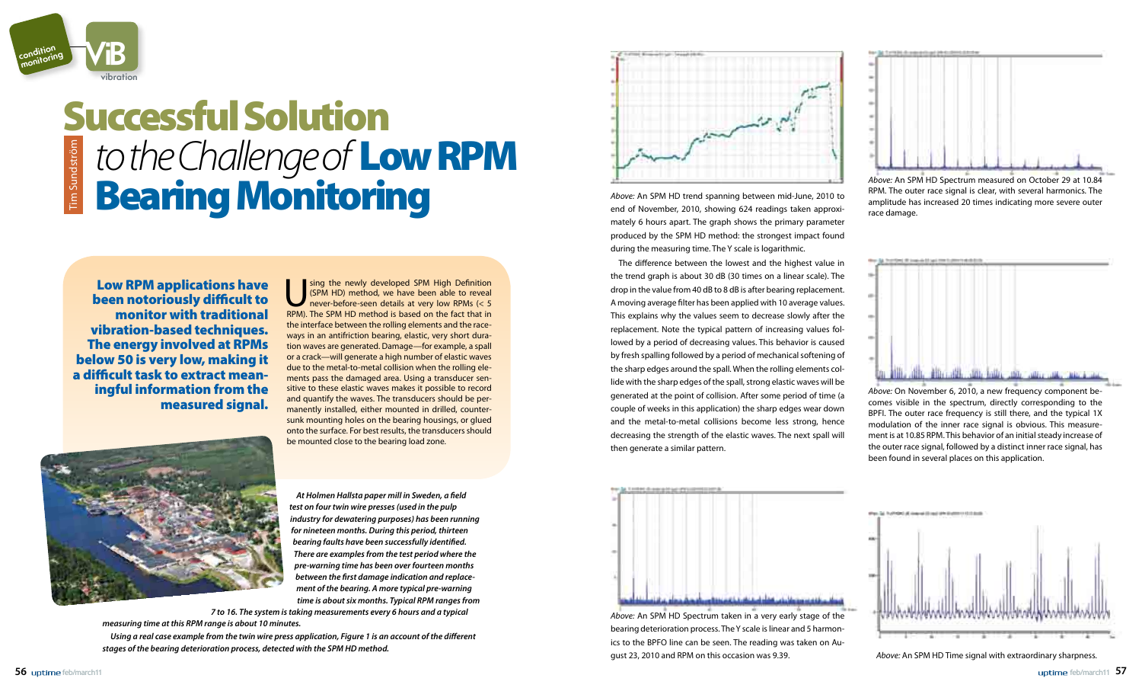*At Holmen Hallsta paper mill in Sweden, a field test on four twin wire presses (used in the pulp industry for dewatering purposes) has been running for nineteen months. During this period, thirteen bearing faults have been successfully identified. There are examples from the test period where the pre-warning time has been over fourteen months between the first damage indication and replacement of the bearing. A more typical pre-warning time is about six months. Typical RPM ranges from* 

*7 to 16. The system is taking measurements every 6 hours and a typical measuring time at this RPM range is about 10 minutes.*

*Using a real case example from the twin wire press application, Figure 1 is an account of the different stages of the bearing deterioration process, detected with the SPM HD method.* 



*Above:* An SPM HD trend spanning between mid-June, 2010 to end of November, 2010, showing 624 readings taken approximately 6 hours apart. The graph shows the primary parameter produced by the SPM HD method: the strongest impact found during the measuring time. The Y scale is logarithmic.

The difference between the lowest and the highest value in the trend graph is about 30 dB (30 times on a linear scale). The drop in the value from 40 dB to 8 dB is after bearing replacement. A moving average filter has been applied with 10 average values. This explains why the values seem to decrease slowly after the replacement. Note the typical pattern of increasing values followed by a period of decreasing values. This behavior is caused by fresh spalling followed by a period of mechanical softening of the sharp edges around the spall. When the rolling elements collide with the sharp edges of the spall, strong elastic waves will be generated at the point of collision. After some period of time (a couple of weeks in this application) the sharp edges wear down and the metal-to-metal collisions become less strong, hence decreasing the strength of the elastic waves. The next spall will then generate a similar pattern.

Sing the newly developed SPM High Definition<br>
(SPM HD) method, we have been able to reveal<br>
never-before-seen details at very low RPMs (< 5<br>
RPM) The SPM HD method is based on the fact that in (SPM HD) method, we have been able to reveal never-before-seen details at very low RPMs (< 5 RPM). The SPM HD method is based on the fact that in the interface between the rolling elements and the raceways in an antifriction bearing, elastic, very short duration waves are generated. Damage—for example, a spall or a crack—will generate a high number of elastic waves due to the metal-to-metal collision when the rolling elements pass the damaged area. Using a transducer sensitive to these elastic waves makes it possible to record and quantify the waves. The transducers should be permanently installed, either mounted in drilled, countersunk mounting holes on the bearing housings, or glued onto the surface. For best results, the transducers should be mounted close to the bearing load zone.





*Above:* An SPM HD Spectrum taken in a very early stage of the bearing deterioration process. The Y scale is linear and 5 harmonics to the BPFO line can be seen. The reading was taken on August 23, 2010 and RPM on this occasion was 9.39.



*Above:* An SPM HD Spectrum measured on October 29 at 10.84 RPM. The outer race signal is clear, with several harmonics. The amplitude has increased 20 times indicating more severe outer race damage.



*Above:* On November 6, 2010, a new frequency component becomes visible in the spectrum, directly corresponding to the BPFI. The outer race frequency is still there, and the typical 1X modulation of the inner race signal is obvious. This measurement is at 10.85 RPM. This behavior of an initial steady increase of the outer race signal, followed by a distinct inner race signal, has been found in several places on this application.



*Above:* An SPM HD Time signal with extraordinary sharpness.



## Successful Solution *to the Challenge of* Low RPM im Sundström Tim SundströmBearing Monitoring

Low RPM applications have been notoriously difficult to monitor with traditional vibration-based techniques. The energy involved at RPMs below 50 is very low, making it a difficult task to extract meaningful information from the measured signal.